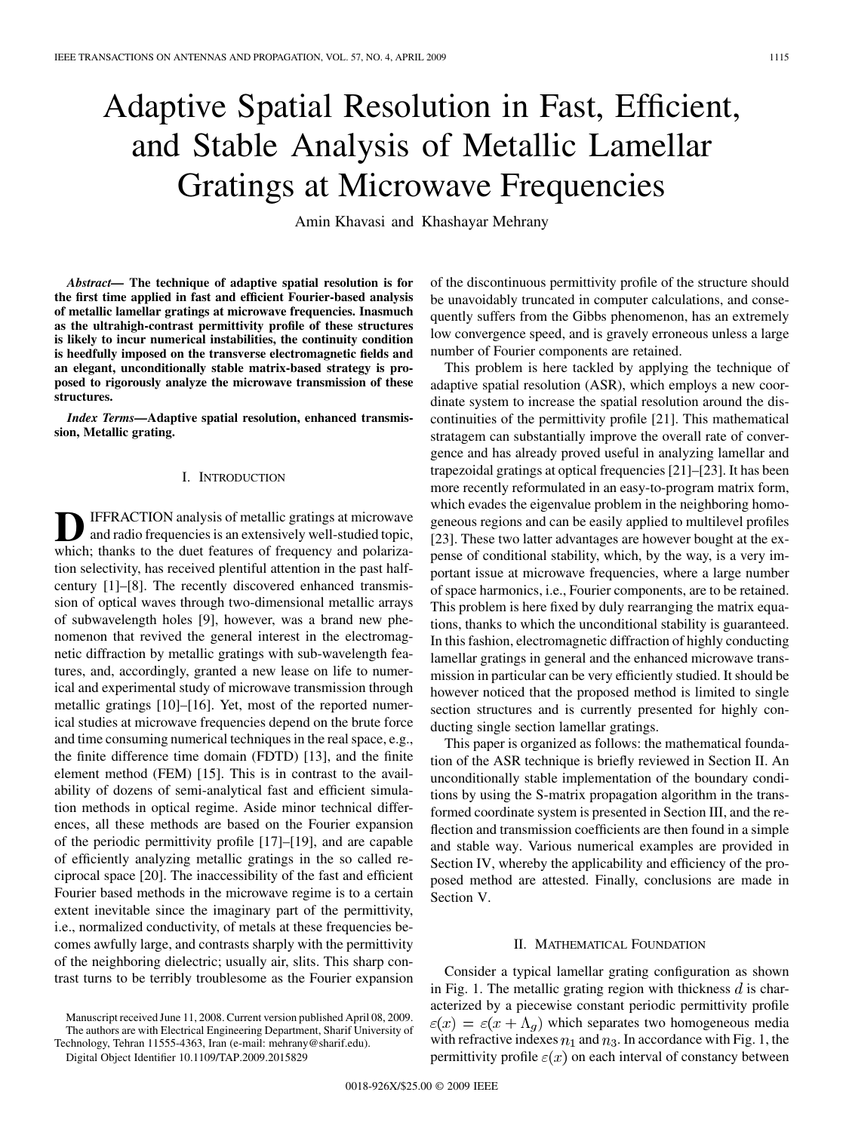# Adaptive Spatial Resolution in Fast, Efficient, and Stable Analysis of Metallic Lamellar Gratings at Microwave Frequencies

Amin Khavasi and Khashayar Mehrany

*Abstract—* **The technique of adaptive spatial resolution is for the first time applied in fast and efficient Fourier-based analysis of metallic lamellar gratings at microwave frequencies. Inasmuch as the ultrahigh-contrast permittivity profile of these structures is likely to incur numerical instabilities, the continuity condition is heedfully imposed on the transverse electromagnetic fields and an elegant, unconditionally stable matrix-based strategy is proposed to rigorously analyze the microwave transmission of these structures.**

*Index Terms—***Adaptive spatial resolution, enhanced transmission, Metallic grating.**

#### I. INTRODUCTION

**IFFRACTION** analysis of metallic gratings at microwave and radio frequencies is an extensively well-studied topic, which; thanks to the duet features of frequency and polarization selectivity, has received plentiful attention in the past halfcentury [1]–[8]. The recently discovered enhanced transmission of optical waves through two-dimensional metallic arrays of subwavelength holes [9], however, was a brand new phenomenon that revived the general interest in the electromagnetic diffraction by metallic gratings with sub-wavelength features, and, accordingly, granted a new lease on life to numerical and experimental study of microwave transmission through metallic gratings [10]–[16]. Yet, most of the reported numerical studies at microwave frequencies depend on the brute force and time consuming numerical techniques in the real space, e.g., the finite difference time domain (FDTD) [13], and the finite element method (FEM) [15]. This is in contrast to the availability of dozens of semi-analytical fast and efficient simulation methods in optical regime. Aside minor technical differences, all these methods are based on the Fourier expansion of the periodic permittivity profile [17]–[19], and are capable of efficiently analyzing metallic gratings in the so called reciprocal space [20]. The inaccessibility of the fast and efficient Fourier based methods in the microwave regime is to a certain extent inevitable since the imaginary part of the permittivity, i.e., normalized conductivity, of metals at these frequencies becomes awfully large, and contrasts sharply with the permittivity of the neighboring dielectric; usually air, slits. This sharp contrast turns to be terribly troublesome as the Fourier expansion

Manuscript received June 11, 2008. Current version published April 08, 2009. The authors are with Electrical Engineering Department, Sharif University of Technology, Tehran 11555-4363, Iran (e-mail: mehrany@sharif.edu).

Digital Object Identifier 10.1109/TAP.2009.2015829

of the discontinuous permittivity profile of the structure should be unavoidably truncated in computer calculations, and consequently suffers from the Gibbs phenomenon, has an extremely low convergence speed, and is gravely erroneous unless a large number of Fourier components are retained.

This problem is here tackled by applying the technique of adaptive spatial resolution (ASR), which employs a new coordinate system to increase the spatial resolution around the discontinuities of the permittivity profile [21]. This mathematical stratagem can substantially improve the overall rate of convergence and has already proved useful in analyzing lamellar and trapezoidal gratings at optical frequencies [21]–[23]. It has been more recently reformulated in an easy-to-program matrix form, which evades the eigenvalue problem in the neighboring homogeneous regions and can be easily applied to multilevel profiles [23]. These two latter advantages are however bought at the expense of conditional stability, which, by the way, is a very important issue at microwave frequencies, where a large number of space harmonics, i.e., Fourier components, are to be retained. This problem is here fixed by duly rearranging the matrix equations, thanks to which the unconditional stability is guaranteed. In this fashion, electromagnetic diffraction of highly conducting lamellar gratings in general and the enhanced microwave transmission in particular can be very efficiently studied. It should be however noticed that the proposed method is limited to single section structures and is currently presented for highly conducting single section lamellar gratings.

This paper is organized as follows: the mathematical foundation of the ASR technique is briefly reviewed in Section II. An unconditionally stable implementation of the boundary conditions by using the S-matrix propagation algorithm in the transformed coordinate system is presented in Section III, and the reflection and transmission coefficients are then found in a simple and stable way. Various numerical examples are provided in Section IV, whereby the applicability and efficiency of the proposed method are attested. Finally, conclusions are made in Section V.

## II. MATHEMATICAL FOUNDATION

Consider a typical lamellar grating configuration as shown in Fig. 1. The metallic grating region with thickness  $d$  is characterized by a piecewise constant periodic permittivity profile  $\varepsilon(x) = \varepsilon(x + \Lambda_q)$  which separates two homogeneous media with refractive indexes  $n_1$  and  $n_3$ . In accordance with Fig. 1, the permittivity profile  $\varepsilon(x)$  on each interval of constancy between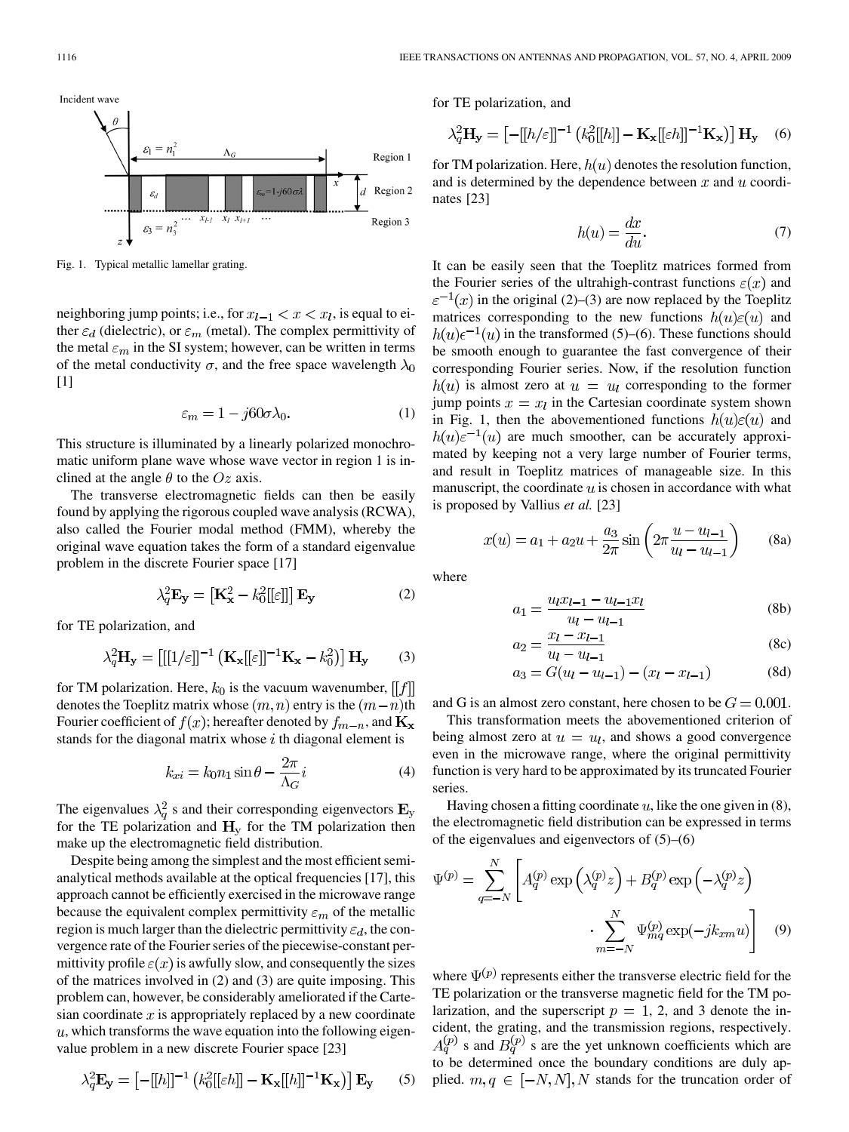

Fig. 1. Typical metallic lamellar grating.

neighboring jump points; i.e., for  $x_{l-1} < x < x_l$ , is equal to either  $\varepsilon_d$  (dielectric), or  $\varepsilon_m$  (metal). The complex permittivity of the metal  $\varepsilon_m$  in the SI system; however, can be written in terms of the metal conductivity  $\sigma$ , and the free space wavelength  $\lambda_0$ [1]

$$
\varepsilon_m = 1 - j60\sigma\lambda_0. \tag{1}
$$

This structure is illuminated by a linearly polarized monochromatic uniform plane wave whose wave vector in region 1 is inclined at the angle  $\theta$  to the  $Oz$  axis.

The transverse electromagnetic fields can then be easily found by applying the rigorous coupled wave analysis (RCWA), also called the Fourier modal method (FMM), whereby the original wave equation takes the form of a standard eigenvalue problem in the discrete Fourier space [17]

$$
\lambda_q^2 \mathbf{E}_\mathbf{y} = \left[ \mathbf{K}_\mathbf{x}^2 - k_0^2 [\lbrack \varepsilon \rbrack] \right] \mathbf{E}_\mathbf{y} \tag{2}
$$

for TE polarization, and

$$
\lambda_q^2 \mathbf{H}_\mathbf{y} = \left[ \left[ [1/\varepsilon] \right]^{-1} \left( \mathbf{K}_\mathbf{x} [[\varepsilon]]^{-1} \mathbf{K}_\mathbf{x} - k_0^2 \right) \right] \mathbf{H}_\mathbf{y} \tag{3}
$$

for TM polarization. Here,  $k_0$  is the vacuum wavenumber, [[f]] denotes the Toeplitz matrix whose  $(m, n)$  entry is the  $(m-n)$ th Fourier coefficient of  $f(x)$ ; hereafter denoted by  $f_{m-n}$ , and  $\mathbf{K}_{\mathbf{x}}$ stands for the diagonal matrix whose  $i$  th diagonal element is

$$
k_{xi} = k_0 n_1 \sin \theta - \frac{2\pi}{\Lambda_G} i \tag{4}
$$

The eigenvalues  $\lambda_q^2$  s and their corresponding eigenvectors  $\mathbf{E}_y$ for the TE polarization and  $H_v$  for the TM polarization then make up the electromagnetic field distribution.

Despite being among the simplest and the most efficient semianalytical methods available at the optical frequencies [17], this approach cannot be efficiently exercised in the microwave range because the equivalent complex permittivity  $\varepsilon_m$  of the metallic region is much larger than the dielectric permittivity  $\varepsilon_d$ , the convergence rate of the Fourier series of the piecewise-constant permittivity profile  $\varepsilon(x)$  is awfully slow, and consequently the sizes of the matrices involved in (2) and (3) are quite imposing. This problem can, however, be considerably ameliorated if the Cartesian coordinate  $x$  is appropriately replaced by a new coordinate  $u$ , which transforms the wave equation into the following eigenvalue problem in a new discrete Fourier space [23]

$$
\lambda_q^2 \mathbf{E_y} = \left[ -[[h]]^{-1} \left( k_0^2 [[\varepsilon h]] - \mathbf{K_x} [[h]]^{-1} \mathbf{K_x} \right) \right] \mathbf{E_y} \tag{5}
$$

for TE polarization, and

$$
\lambda_q^2 \mathbf{H}_\mathbf{y} = \left[ -[[h/\varepsilon]]^{-1} \left( k_0^2 [[h]] - \mathbf{K}_\mathbf{x} [[\varepsilon h]]^{-1} \mathbf{K}_\mathbf{x} \right) \right] \mathbf{H}_\mathbf{y} \tag{6}
$$

for TM polarization. Here,  $h(u)$  denotes the resolution function, and is determined by the dependence between  $x$  and  $u$  coordinates [23]

$$
h(u) = \frac{dx}{du}.\tag{7}
$$

It can be easily seen that the Toeplitz matrices formed from the Fourier series of the ultrahigh-contrast functions  $\varepsilon(x)$  and  $\varepsilon^{-1}(x)$  in the original (2)–(3) are now replaced by the Toeplitz matrices corresponding to the new functions  $h(u) \varepsilon(u)$  and  $h(u) \epsilon^{-1}(u)$  in the transformed (5)–(6). These functions should be smooth enough to guarantee the fast convergence of their corresponding Fourier series. Now, if the resolution function  $h(u)$  is almost zero at  $u = u_l$  corresponding to the former jump points  $x = x_l$  in the Cartesian coordinate system shown in Fig. 1, then the abovementioned functions  $h(u) \varepsilon(u)$  and  $h(u)\varepsilon^{-1}(u)$  are much smoother, can be accurately approximated by keeping not a very large number of Fourier terms, and result in Toeplitz matrices of manageable size. In this manuscript, the coordinate  $u$  is chosen in accordance with what is proposed by Vallius *et al.* [23]

$$
x(u) = a_1 + a_2 u + \frac{a_3}{2\pi} \sin\left(2\pi \frac{u - u_{l-1}}{u_l - u_{l-1}}\right)
$$
 (8a)

where

$$
u_1 = \frac{u_l x_{l-1} - u_{l-1} x_l}{u_l - u_{l-1}}
$$
 (8b)

$$
a_2 = \frac{x_l - x_{l-1}}{u_l - u_{l-1}}
$$
 (8c)

$$
a_3 = G(u_l - u_{l-1}) - (x_l - x_{l-1})
$$
 (8d)

and G is an almost zero constant, here chosen to be  $G = 0.001$ .

This transformation meets the abovementioned criterion of being almost zero at  $u = u_l$ , and shows a good convergence even in the microwave range, where the original permittivity function is very hard to be approximated by its truncated Fourier series.

Having chosen a fitting coordinate  $u$ , like the one given in  $(8)$ , the electromagnetic field distribution can be expressed in terms of the eigenvalues and eigenvectors of (5)–(6)

$$
\Psi^{(p)} = \sum_{q=-N}^{N} \left[ A_q^{(p)} \exp \left( \lambda_q^{(p)} z \right) + B_q^{(p)} \exp \left( -\lambda_q^{(p)} z \right) \cdot \sum_{m=-N}^{N} \Psi_{mq}^{(p)} \exp(-jk_{xm}u) \right]
$$
(9)

where  $\Psi^{(p)}$  represents either the transverse electric field for the TE polarization or the transverse magnetic field for the TM polarization, and the superscript  $p = 1, 2$ , and 3 denote the incident, the grating, and the transmission regions, respectively.  $A_q^{(p)}$  s and  $B_q^{(p)}$  s are the yet unknown coefficients which are to be determined once the boundary conditions are duly applied.  $m, q \in [-N, N], N$  stands for the truncation order of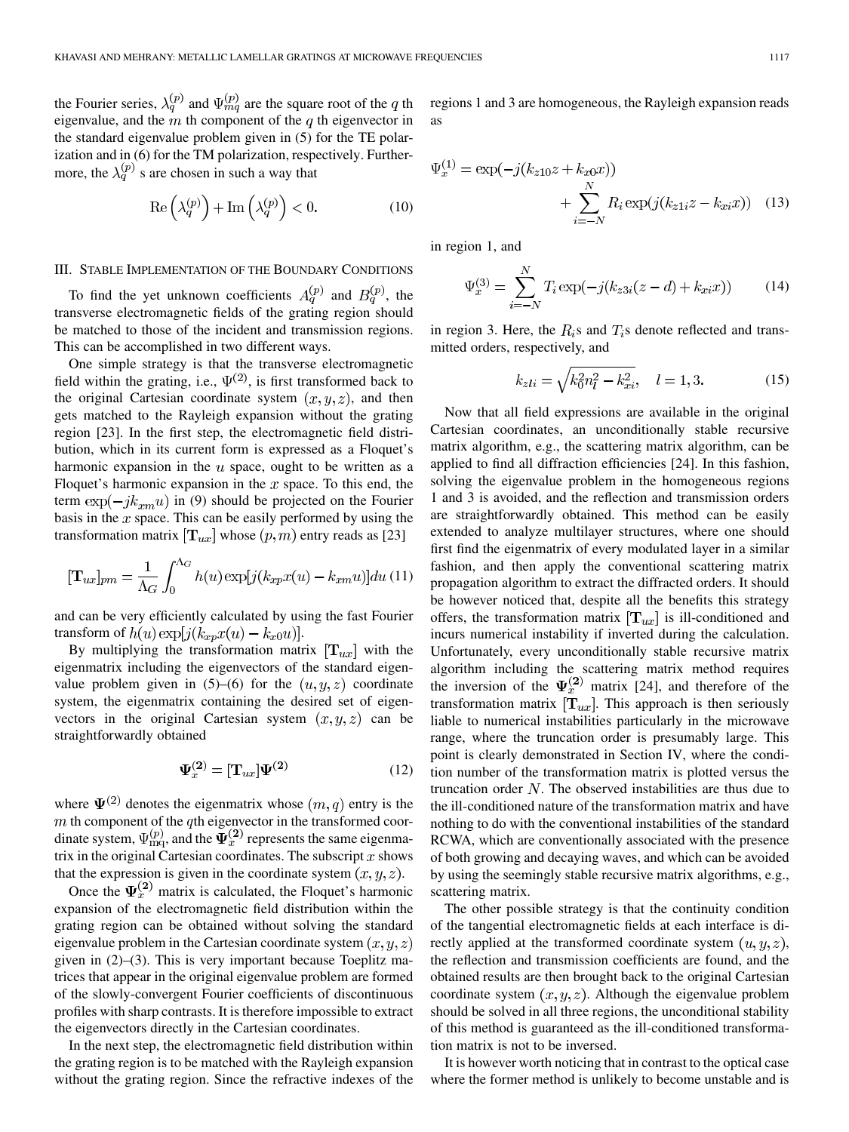the Fourier series,  $\lambda_q^{(p)}$  and  $\Psi_{mq}^{(p)}$  are the square root of the q th eigenvalue, and the  $m$  th component of the  $q$  th eigenvector in the standard eigenvalue problem given in (5) for the TE polarization and in (6) for the TM polarization, respectively. Furthermore, the  $\lambda_q^{(p)}$  s are chosen in such a way that

$$
\operatorname{Re}\left(\lambda_q^{(p)}\right) + \operatorname{Im}\left(\lambda_q^{(p)}\right) < 0. \tag{10}
$$

## III. STABLE IMPLEMENTATION OF THE BOUNDARY CONDITIONS

To find the yet unknown coefficients  $A_q^{(p)}$  and  $B_q^{(p)}$ , the transverse electromagnetic fields of the grating region should be matched to those of the incident and transmission regions. This can be accomplished in two different ways.

One simple strategy is that the transverse electromagnetic field within the grating, i.e.,  $\Psi^{(2)}$ , is first transformed back to the original Cartesian coordinate system  $(x, y, z)$ , and then gets matched to the Rayleigh expansion without the grating region [23]. In the first step, the electromagnetic field distribution, which in its current form is expressed as a Floquet's harmonic expansion in the  $u$  space, ought to be written as a Floquet's harmonic expansion in the  $x$  space. To this end, the term  $\exp(-jk_{xm}u)$  in (9) should be projected on the Fourier basis in the  $x$  space. This can be easily performed by using the transformation matrix  $[T_{ux}]$  whose  $(p, m)$  entry reads as [23]

$$
[\mathbf{T}_{ux}]_{pm} = \frac{1}{\Lambda_G} \int_0^{\Lambda_G} h(u) \exp[j(k_{xp}x(u) - k_{xm}u)] du
$$
 (11)

and can be very efficiently calculated by using the fast Fourier transform of  $h(u) \exp[j(k_{xp}x(u) - k_{x0}u)].$ 

By multiplying the transformation matrix  $[T_{ux}]$  with the eigenmatrix including the eigenvectors of the standard eigenvalue problem given in  $(5)$ – $(6)$  for the  $(u, y, z)$  coordinate system, the eigenmatrix containing the desired set of eigenvectors in the original Cartesian system  $(x, y, z)$  can be straightforwardly obtained

$$
\Psi_x^{(2)} = [\mathbf{T}_{ux}] \Psi^{(2)} \tag{12}
$$

where  $\Psi^{(2)}$  denotes the eigenmatrix whose  $(m, q)$  entry is the  $m$  th component of the  $q$ th eigenvector in the transformed coordinate system,  $\Psi_{\text{mq}}^{(p)}$ , and the  $\Psi_x^{(2)}$  represents the same eigenmatrix in the original Cartesian coordinates. The subscript  $x$  shows that the expression is given in the coordinate system  $(x, y, z)$ .

Once the  $\Psi_x^{(2)}$  matrix is calculated, the Floquet's harmonic expansion of the electromagnetic field distribution within the grating region can be obtained without solving the standard eigenvalue problem in the Cartesian coordinate system  $(x, y, z)$ given in  $(2)$ – $(3)$ . This is very important because Toeplitz matrices that appear in the original eigenvalue problem are formed of the slowly-convergent Fourier coefficients of discontinuous profiles with sharp contrasts. It is therefore impossible to extract the eigenvectors directly in the Cartesian coordinates.

In the next step, the electromagnetic field distribution within the grating region is to be matched with the Rayleigh expansion without the grating region. Since the refractive indexes of the regions 1 and 3 are homogeneous, the Rayleigh expansion reads as

$$
\Psi_x^{(1)} = \exp(-j(k_{z10}z + k_{x0}x)) + \sum_{i=-N}^{N} R_i \exp(j(k_{z1i}z - k_{xi}x))
$$
 (13)

in region 1, and

$$
\Psi_x^{(3)} = \sum_{i=-N}^{N} T_i \exp(-j(k_{z3i}(z-d) + k_{xi}x))
$$
 (14)

in region 3. Here, the  $R_i$ s and  $T_i$ s denote reflected and transmitted orders, respectively, and

$$
k_{zli} = \sqrt{k_0^2 n_l^2 - k_{xi}^2}, \quad l = 1, 3. \tag{15}
$$

Now that all field expressions are available in the original Cartesian coordinates, an unconditionally stable recursive matrix algorithm, e.g., the scattering matrix algorithm, can be applied to find all diffraction efficiencies [24]. In this fashion, solving the eigenvalue problem in the homogeneous regions 1 and 3 is avoided, and the reflection and transmission orders are straightforwardly obtained. This method can be easily extended to analyze multilayer structures, where one should first find the eigenmatrix of every modulated layer in a similar fashion, and then apply the conventional scattering matrix propagation algorithm to extract the diffracted orders. It should be however noticed that, despite all the benefits this strategy offers, the transformation matrix  $[T_{ux}]$  is ill-conditioned and incurs numerical instability if inverted during the calculation. Unfortunately, every unconditionally stable recursive matrix algorithm including the scattering matrix method requires the inversion of the  $\Psi_x^{(2)}$  matrix [24], and therefore of the transformation matrix  $[T_{ux}]$ . This approach is then seriously liable to numerical instabilities particularly in the microwave range, where the truncation order is presumably large. This point is clearly demonstrated in Section IV, where the condition number of the transformation matrix is plotted versus the truncation order  $N$ . The observed instabilities are thus due to the ill-conditioned nature of the transformation matrix and have nothing to do with the conventional instabilities of the standard RCWA, which are conventionally associated with the presence of both growing and decaying waves, and which can be avoided by using the seemingly stable recursive matrix algorithms, e.g., scattering matrix.

The other possible strategy is that the continuity condition of the tangential electromagnetic fields at each interface is directly applied at the transformed coordinate system  $(u, y, z)$ , the reflection and transmission coefficients are found, and the obtained results are then brought back to the original Cartesian coordinate system  $(x, y, z)$ . Although the eigenvalue problem should be solved in all three regions, the unconditional stability of this method is guaranteed as the ill-conditioned transformation matrix is not to be inversed.

It is however worth noticing that in contrast to the optical case where the former method is unlikely to become unstable and is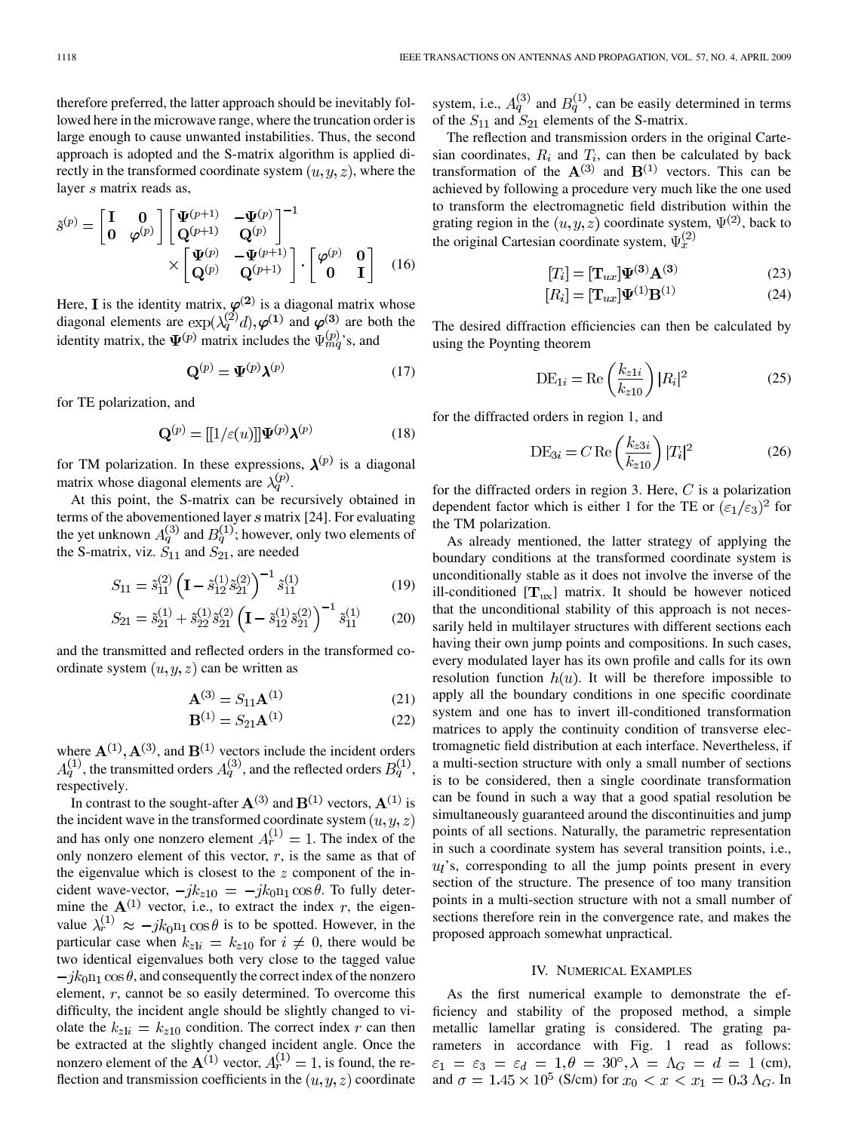therefore preferred, the latter approach should be inevitably followed here in the microwave range, where the truncation order is large enough to cause unwanted instabilities. Thus, the second approach is adopted and the S-matrix algorithm is applied directly in the transformed coordinate system  $(u, y, z)$ , where the layer  $s$  matrix reads as,

$$
\tilde{s}^{(p)} = \begin{bmatrix} \mathbf{I} & \mathbf{0} \\ \mathbf{0} & \boldsymbol{\varphi}^{(p)} \end{bmatrix} \begin{bmatrix} \boldsymbol{\Psi}^{(p+1)} & -\boldsymbol{\Psi}^{(p)} \\ \mathbf{Q}^{(p+1)} & \mathbf{Q}^{(p)} \end{bmatrix}^{-1} \times \begin{bmatrix} \boldsymbol{\Psi}^{(p)} & -\boldsymbol{\Psi}^{(p+1)} \\ \mathbf{Q}^{(p)} & \mathbf{Q}^{(p+1)} \end{bmatrix} \cdot \begin{bmatrix} \boldsymbol{\varphi}^{(p)} & \mathbf{0} \\ \mathbf{0} & \mathbf{I} \end{bmatrix}
$$
(16)

Here, **I** is the identity matrix,  $\varphi^{(2)}$  is a diagonal matrix whose diagonal elements are  $\exp(\lambda_q^{(2)}d), \varphi^{(1)}$  and  $\varphi^{(3)}$  are both the identity matrix, the  $\Psi^{(p)}$  matrix includes the  $\Psi^{(p)}_{mq}$ 's, and

$$
\mathbf{Q}^{(p)} = \mathbf{\Psi}^{(p)} \boldsymbol{\lambda}^{(p)} \tag{17}
$$

for TE polarization, and

$$
\mathbf{Q}^{(p)} = [[1/\varepsilon(u)]]\mathbf{\Psi}^{(p)}\mathbf{\lambda}^{(p)} \tag{18}
$$

for TM polarization. In these expressions,  $\lambda^{(p)}$  is a diagonal matrix whose diagonal elements are  $\lambda_q^{(p)}$ .

At this point, the S-matrix can be recursively obtained in terms of the abovementioned layer  $s$  matrix [24]. For evaluating the yet unknown  $A_q^{(3)}$  and  $B_q^{(1)}$ ; however, only two elements of the S-matrix, viz.  $S_{11}$  and  $S_{21}$ , are needed

$$
S_{11} = \tilde{s}_{11}^{(2)} \left( \mathbf{I} - \tilde{s}_{12}^{(1)} \tilde{s}_{21}^{(2)} \right)^{-1} \tilde{s}_{11}^{(1)} \tag{19}
$$

$$
S_{21} = \tilde{s}_{21}^{(1)} + \tilde{s}_{22}^{(1)} \tilde{s}_{21}^{(2)} \left( \mathbf{I} - \tilde{s}_{12}^{(1)} \tilde{s}_{21}^{(2)} \right)^{-1} \tilde{s}_{11}^{(1)} \tag{20}
$$

and the transmitted and reflected orders in the transformed coordinate system  $(u, y, z)$  can be written as

$$
\mathbf{A}^{(3)} = S_{11}\mathbf{A}^{(1)} \tag{21}
$$

$$
\mathbf{B}^{(1)} = S_{21}\mathbf{A}^{(1)} \tag{22}
$$

where  $\mathbf{A}^{(1)}$ ,  $\mathbf{A}^{(3)}$ , and  $\mathbf{B}^{(1)}$  vectors include the incident orders , the transmitted orders  $A_q^{(3)}$ , and the reflected orders  $B_q^{(1)}$ , respectively.

In contrast to the sought-after  $\mathbf{A}^{(3)}$  and  $\mathbf{B}^{(1)}$  vectors,  $\mathbf{A}^{(1)}$  is the incident wave in the transformed coordinate system  $(u, y, z)$ and has only one nonzero element  $A_r^{(1)} = 1$ . The index of the only nonzero element of this vector,  $r$ , is the same as that of the eigenvalue which is closest to the  $z$  component of the incident wave-vector,  $-jk_{z10} = -jk_0n_1 \cos\theta$ . To fully determine the  $A^{(1)}$  vector, i.e., to extract the index r, the eigenvalue  $\lambda_r^{(1)} \approx -jk_0 n_1 \cos \theta$  is to be spotted. However, in the particular case when  $k_{z1i} = k_{z10}$  for  $i \neq 0$ , there would be two identical eigenvalues both very close to the tagged value  $-i k_0 n_1 \cos \theta$ , and consequently the correct index of the nonzero element,  $r$ , cannot be so easily determined. To overcome this difficulty, the incident angle should be slightly changed to violate the  $k_{z1i} = k_{z10}$  condition. The correct index r can then be extracted at the slightly changed incident angle. Once the nonzero element of the  $\mathbf{A}^{(1)}$  vector,  $A_r^{(1)} = 1$ , is found, the reflection and transmission coefficients in the  $(u, y, z)$  coordinate system, i.e.,  $A_q^{(3)}$  and  $B_q^{(1)}$ , can be easily determined in terms of the  $S_{11}$  and  $S_{21}$  elements of the S-matrix.

The reflection and transmission orders in the original Cartesian coordinates,  $R_i$  and  $T_i$ , can then be calculated by back transformation of the  $A^{(3)}$  and  $B^{(1)}$  vectors. This can be achieved by following a procedure very much like the one used to transform the electromagnetic field distribution within the grating region in the  $(u, y, z)$  coordinate system,  $\Psi^{(2)}$ , back to the original Cartesian coordinate system,  $\Psi_x^{(2)}$ 

$$
[T_i] = [\mathbf{T}_{ux}] \mathbf{\Psi}^{(3)} \mathbf{A}^{(3)} \tag{23}
$$

$$
[R_i] = \left[\mathbf{T}_{ux}\right] \mathbf{\Psi}^{(1)} \mathbf{B}^{(1)} \tag{24}
$$

The desired diffraction efficiencies can then be calculated by using the Poynting theorem

$$
DE_{1i} = Re\left(\frac{k_{z1i}}{k_{z10}}\right) |R_i|^2
$$
 (25)

for the diffracted orders in region 1, and

$$
DE_{3i} = C \operatorname{Re}\left(\frac{k_{z3i}}{k_{z10}}\right) |T_i|^2 \tag{26}
$$

for the diffracted orders in region 3. Here,  $C$  is a polarization dependent factor which is either 1 for the TE or  $(\epsilon_1/\epsilon_3)^2$  for the TM polarization.

As already mentioned, the latter strategy of applying the boundary conditions at the transformed coordinate system is unconditionally stable as it does not involve the inverse of the ill-conditioned  $[T_{ux}]$  matrix. It should be however noticed that the unconditional stability of this approach is not necessarily held in multilayer structures with different sections each having their own jump points and compositions. In such cases, every modulated layer has its own profile and calls for its own resolution function  $h(u)$ . It will be therefore impossible to apply all the boundary conditions in one specific coordinate system and one has to invert ill-conditioned transformation matrices to apply the continuity condition of transverse electromagnetic field distribution at each interface. Nevertheless, if a multi-section structure with only a small number of sections is to be considered, then a single coordinate transformation can be found in such a way that a good spatial resolution be simultaneously guaranteed around the discontinuities and jump points of all sections. Naturally, the parametric representation in such a coordinate system has several transition points, i.e.,  $u_i$ 's, corresponding to all the jump points present in every section of the structure. The presence of too many transition points in a multi-section structure with not a small number of sections therefore rein in the convergence rate, and makes the proposed approach somewhat unpractical.

#### IV. NUMERICAL EXAMPLES

As the first numerical example to demonstrate the efficiency and stability of the proposed method, a simple metallic lamellar grating is considered. The grating parameters in accordance with Fig. 1 read as follows:  $\varepsilon_1 = \varepsilon_3 = \varepsilon_d = 1, \theta = 30^\circ, \lambda = \Lambda_G = d = 1$  (cm), and  $\sigma = 1.45 \times 10^5$  (S/cm) for  $x_0 < x < x_1 = 0.3$   $\Lambda_G$ . In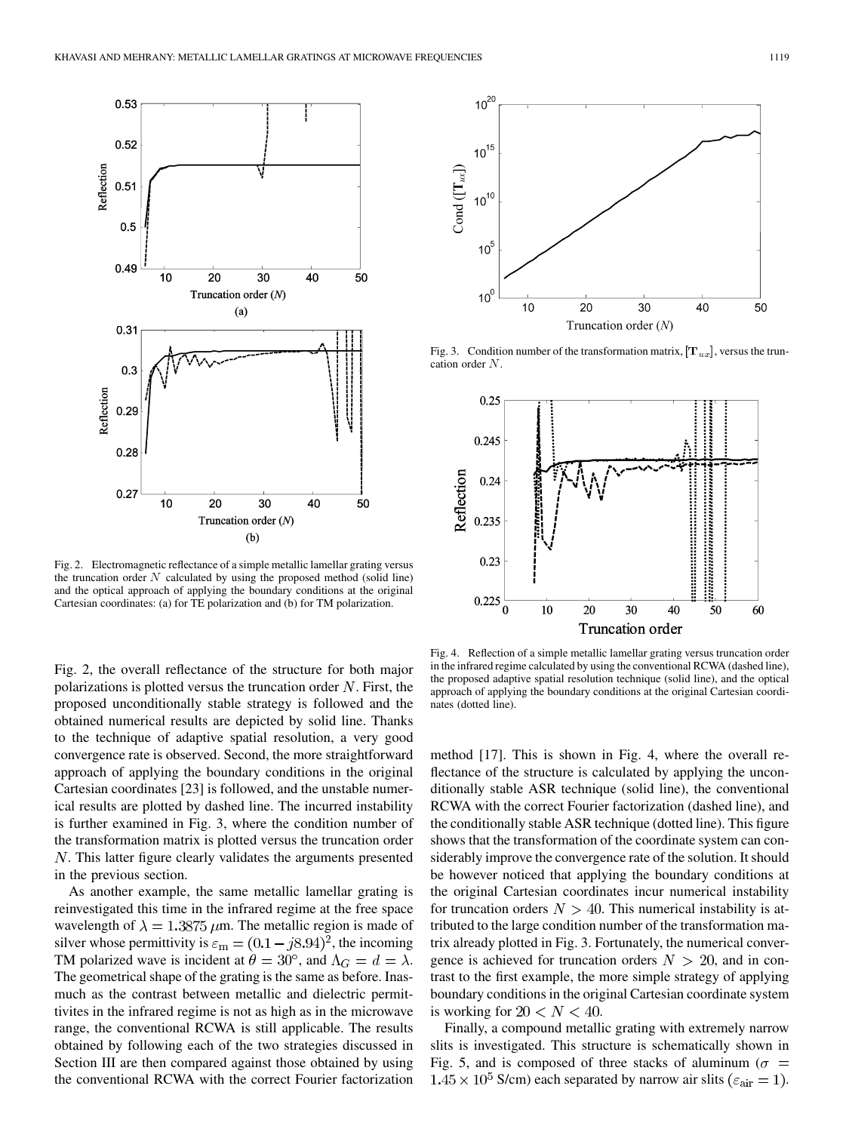

Fig. 2. Electromagnetic reflectance of a simple metallic lamellar grating versus the truncation order  $N$  calculated by using the proposed method (solid line) and the optical approach of applying the boundary conditions at the original Cartesian coordinates: (a) for TE polarization and (b) for TM polarization.

Fig. 2, the overall reflectance of the structure for both major polarizations is plotted versus the truncation order  $N$ . First, the proposed unconditionally stable strategy is followed and the obtained numerical results are depicted by solid line. Thanks to the technique of adaptive spatial resolution, a very good convergence rate is observed. Second, the more straightforward approach of applying the boundary conditions in the original Cartesian coordinates [23] is followed, and the unstable numerical results are plotted by dashed line. The incurred instability is further examined in Fig. 3, where the condition number of the transformation matrix is plotted versus the truncation order . This latter figure clearly validates the arguments presented in the previous section.

As another example, the same metallic lamellar grating is reinvestigated this time in the infrared regime at the free space wavelength of  $\lambda = 1.3875 \mu$ m. The metallic region is made of silver whose permittivity is  $\varepsilon_m = (0.1 - j8.94)^2$ , the incoming TM polarized wave is incident at  $\theta = 30^{\circ}$ , and  $\Lambda_G = d = \lambda$ . The geometrical shape of the grating is the same as before. Inasmuch as the contrast between metallic and dielectric permittivites in the infrared regime is not as high as in the microwave range, the conventional RCWA is still applicable. The results obtained by following each of the two strategies discussed in Section III are then compared against those obtained by using the conventional RCWA with the correct Fourier factorization



Fig. 3. Condition number of the transformation matrix,  $[\mathbf{T}_{ux}]$ , versus the truncation order  $N$ .



Fig. 4. Reflection of a simple metallic lamellar grating versus truncation order in the infrared regime calculated by using the conventional RCWA (dashed line), the proposed adaptive spatial resolution technique (solid line), and the optical approach of applying the boundary conditions at the original Cartesian coordinates (dotted line).

method [17]. This is shown in Fig. 4, where the overall reflectance of the structure is calculated by applying the unconditionally stable ASR technique (solid line), the conventional RCWA with the correct Fourier factorization (dashed line), and the conditionally stable ASR technique (dotted line). This figure shows that the transformation of the coordinate system can considerably improve the convergence rate of the solution. It should be however noticed that applying the boundary conditions at the original Cartesian coordinates incur numerical instability for truncation orders  $N > 40$ . This numerical instability is attributed to the large condition number of the transformation matrix already plotted in Fig. 3. Fortunately, the numerical convergence is achieved for truncation orders  $N > 20$ , and in contrast to the first example, the more simple strategy of applying boundary conditions in the original Cartesian coordinate system is working for  $20 < N < 40$ .

Finally, a compound metallic grating with extremely narrow slits is investigated. This structure is schematically shown in Fig. 5, and is composed of three stacks of aluminum ( $\sigma$  =  $1.45 \times 10^5$  S/cm) each separated by narrow air slits  $(\varepsilon_{air} = 1)$ .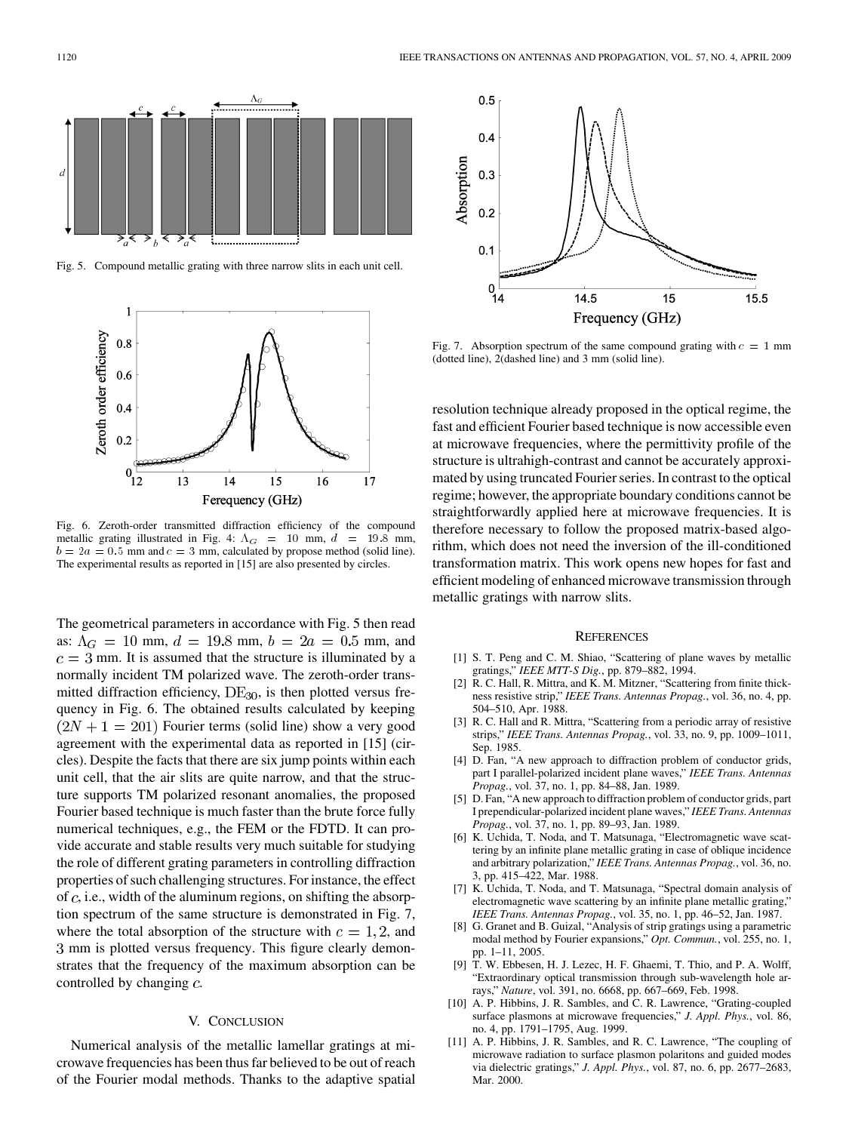

Fig. 5. Compound metallic grating with three narrow slits in each unit cell.



Fig. 6. Zeroth-order transmitted diffraction efficiency of the compound metallic grating illustrated in Fig. 4:  $\Lambda_G$  = 10 mm,  $d$  = 19.8 mm,  $b = 2a = 0.5$  mm and  $c = 3$  mm, calculated by propose method (solid line). The experimental results as reported in [15] are also presented by circles.

The geometrical parameters in accordance with Fig. 5 then read as:  $\Lambda_G = 10$  mm,  $d = 19.8$  mm,  $b = 2a = 0.5$  mm, and  $c = 3$  mm. It is assumed that the structure is illuminated by a normally incident TM polarized wave. The zeroth-order transmitted diffraction efficiency,  $DE_{30}$ , is then plotted versus frequency in Fig. 6. The obtained results calculated by keeping  $(2N + 1 = 201)$  Fourier terms (solid line) show a very good agreement with the experimental data as reported in [15] (circles). Despite the facts that there are six jump points within each unit cell, that the air slits are quite narrow, and that the structure supports TM polarized resonant anomalies, the proposed Fourier based technique is much faster than the brute force fully numerical techniques, e.g., the FEM or the FDTD. It can provide accurate and stable results very much suitable for studying the role of different grating parameters in controlling diffraction properties of such challenging structures. For instance, the effect of  $c$ , i.e., width of the aluminum regions, on shifting the absorption spectrum of the same structure is demonstrated in Fig. 7, where the total absorption of the structure with  $c = 1, 2$ , and 3 mm is plotted versus frequency. This figure clearly demonstrates that the frequency of the maximum absorption can be controlled by changing  $c$ .

# V. CONCLUSION

Numerical analysis of the metallic lamellar gratings at microwave frequencies has been thus far believed to be out of reach of the Fourier modal methods. Thanks to the adaptive spatial



Fig. 7. Absorption spectrum of the same compound grating with  $c = 1$  mm (dotted line), 2(dashed line) and 3 mm (solid line).

resolution technique already proposed in the optical regime, the fast and efficient Fourier based technique is now accessible even at microwave frequencies, where the permittivity profile of the structure is ultrahigh-contrast and cannot be accurately approximated by using truncated Fourier series. In contrast to the optical regime; however, the appropriate boundary conditions cannot be straightforwardly applied here at microwave frequencies. It is therefore necessary to follow the proposed matrix-based algorithm, which does not need the inversion of the ill-conditioned transformation matrix. This work opens new hopes for fast and efficient modeling of enhanced microwave transmission through metallic gratings with narrow slits.

### **REFERENCES**

- [1] S. T. Peng and C. M. Shiao, "Scattering of plane waves by metallic gratings," *IEEE MTT-S Dig.*, pp. 879–882, 1994.
- [2] R. C. Hall, R. Mittra, and K. M. Mitzner, "Scattering from finite thickness resistive strip," *IEEE Trans. Antennas Propag.*, vol. 36, no. 4, pp. 504–510, Apr. 1988.
- [3] R. C. Hall and R. Mittra, "Scattering from a periodic array of resistive strips," *IEEE Trans. Antennas Propag.*, vol. 33, no. 9, pp. 1009–1011, Sep. 1985.
- [4] D. Fan, "A new approach to diffraction problem of conductor grids, part I parallel-polarized incident plane waves," *IEEE Trans. Antennas Propag.*, vol. 37, no. 1, pp. 84–88, Jan. 1989.
- [5] D. Fan, "A new approach to diffraction problem of conductor grids, part I prependicular-polarized incident plane waves," *IEEE Trans. Antennas Propag.*, vol. 37, no. 1, pp. 89–93, Jan. 1989.
- [6] K. Uchida, T. Noda, and T. Matsunaga, "Electromagnetic wave scattering by an infinite plane metallic grating in case of oblique incidence and arbitrary polarization," *IEEE Trans. Antennas Propag.*, vol. 36, no. 3, pp. 415–422, Mar. 1988.
- [7] K. Uchida, T. Noda, and T. Matsunaga, "Spectral domain analysis of electromagnetic wave scattering by an infinite plane metallic grating," *IEEE Trans. Antennas Propag.*, vol. 35, no. 1, pp. 46–52, Jan. 1987.
- [8] G. Granet and B. Guizal, "Analysis of strip gratings using a parametric modal method by Fourier expansions," *Opt. Commun.*, vol. 255, no. 1, pp. 1–11, 2005.
- [9] T. W. Ebbesen, H. J. Lezec, H. F. Ghaemi, T. Thio, and P. A. Wolff, "Extraordinary optical transmission through sub-wavelength hole arrays," *Nature*, vol. 391, no. 6668, pp. 667–669, Feb. 1998.
- [10] A. P. Hibbins, J. R. Sambles, and C. R. Lawrence, "Grating-coupled surface plasmons at microwave frequencies," *J. Appl. Phys.*, vol. 86, no. 4, pp. 1791–1795, Aug. 1999.
- [11] A. P. Hibbins, J. R. Sambles, and R. C. Lawrence, "The coupling of microwave radiation to surface plasmon polaritons and guided modes via dielectric gratings," *J. Appl. Phys.*, vol. 87, no. 6, pp. 2677–2683, Mar. 2000.